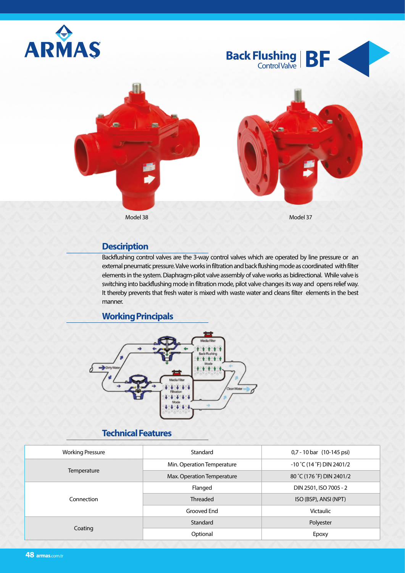

### **Desciription**

Backflushing control valves are the 3-way control valves which are operated by line pressure or an external pneumatic pressure. Valve works in filtration and back flushing mode as coordinated with filter elements in the system. Diaphragm-pilot valve assembly of valve works as bidirectional. While valve is switching into backflushing mode in filtration mode, pilot valve changes its way and opens relief way. It thereby prevents that fresh water is mixed with waste water and cleans filter elements in the best manner.

#### **Working Principals**



### **Technical Features**

| <b>Working Pressure</b> | Standard                   | 0,7 - 10 bar (10-145 psi)   |  |
|-------------------------|----------------------------|-----------------------------|--|
|                         | Min. Operation Temperature | $-10$ °C (14 °F) DIN 2401/2 |  |
| Temperature             | Max. Operation Temperature | 80 °C (176 °F) DIN 2401/2   |  |
|                         | Flanged                    | DIN 2501, ISO 7005 - 2      |  |
| Connection              | Threaded                   | ISO (BSP), ANSI (NPT)       |  |
|                         | Grooved End                | <b>Victaulic</b>            |  |
| Coating                 | Standard                   | Polyester                   |  |
|                         | Optional                   | Epoxy                       |  |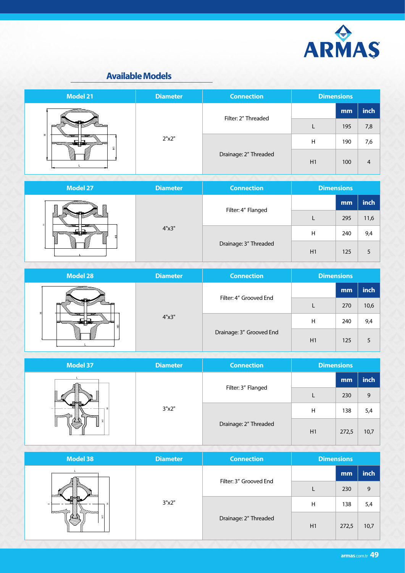

### **Available Models**



| <b>Model 27</b>                                     | <b>Diameter</b> | <b>Connection</b>     |    | <b>Dimensions</b> |      |
|-----------------------------------------------------|-----------------|-----------------------|----|-------------------|------|
| Ø<br>M<br>Q<br>97776 - 6777777<br>4"x3"<br>V)<br>Ø, |                 | Filter: 4" Flanged    |    | mm                | inch |
|                                                     |                 |                       |    | 295               | 11,6 |
|                                                     |                 | Drainage: 3" Threaded | Η  | 240               | 9,4  |
|                                                     |                 |                       | H1 | 125               |      |

| <b>Model 28</b>                                           | <b>Diameter</b> | <b>Connection</b>        | <b>Dimensions</b> |     |      |
|-----------------------------------------------------------|-----------------|--------------------------|-------------------|-----|------|
| //// <del>///////////</del><br><b>MARIE -</b><br>W)<br>W) |                 | Filter: 4" Grooved End   |                   | mm  | inch |
|                                                           | 4"x3"           |                          |                   | 270 | 10,6 |
|                                                           |                 | Drainage: 3" Grooved End | Н                 | 240 | 9,4  |
|                                                           |                 |                          | H1                | 125 |      |

| <b>Model 37</b> | <b>Diameter</b> | <b>Connection</b>     | <b>Dimensions</b> |       |      |
|-----------------|-----------------|-----------------------|-------------------|-------|------|
| 회<br>E<br>Е     | 3"x2"           | Filter: 3" Flanged    |                   | mm    | inch |
|                 |                 |                       |                   | 230   | 9    |
|                 |                 | Drainage: 2" Threaded | н                 | 138   | 5,4  |
|                 |                 |                       | H1                | 272,5 | 10,7 |

| <b>Model 38</b> | <b>Diameter</b> | <b>Connection</b>      | <b>Dimensions</b> |       |      |
|-----------------|-----------------|------------------------|-------------------|-------|------|
| кs<br>되<br>℅    | 3"x2"           | Filter: 3" Grooved End |                   | mm    | inch |
|                 |                 |                        |                   | 230   | 9    |
|                 |                 | Drainage: 2" Threaded  | н                 | 138   | 5,4  |
|                 |                 |                        | H1                | 272,5 | 10,7 |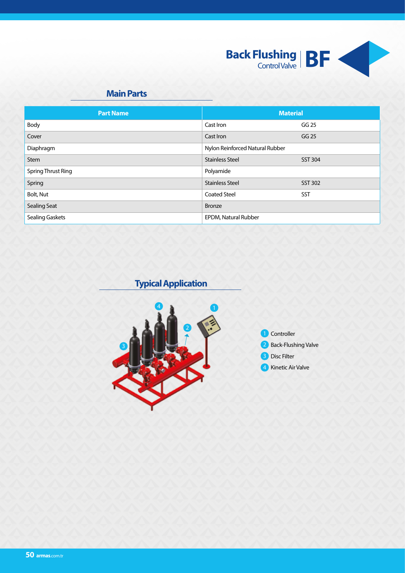

## **Main Parts**

| <b>Part Name</b>          | <b>Material</b>                 |                |
|---------------------------|---------------------------------|----------------|
| Body                      | Cast Iron                       | GG 25          |
| Cover                     | Cast Iron                       | GG 25          |
| Diaphragm                 | Nylon Reinforced Natural Rubber |                |
| <b>Stem</b>               | <b>Stainless Steel</b>          | <b>SST 304</b> |
| <b>Spring Thrust Ring</b> | Polyamide                       |                |
| Spring                    | <b>Stainless Steel</b>          | <b>SST 302</b> |
| Bolt, Nut                 | <b>Coated Steel</b>             | <b>SST</b>     |
| <b>Sealing Seat</b>       | <b>Bronze</b>                   |                |
| <b>Sealing Gaskets</b>    | EPDM, Natural Rubber            |                |

**Typical Application**